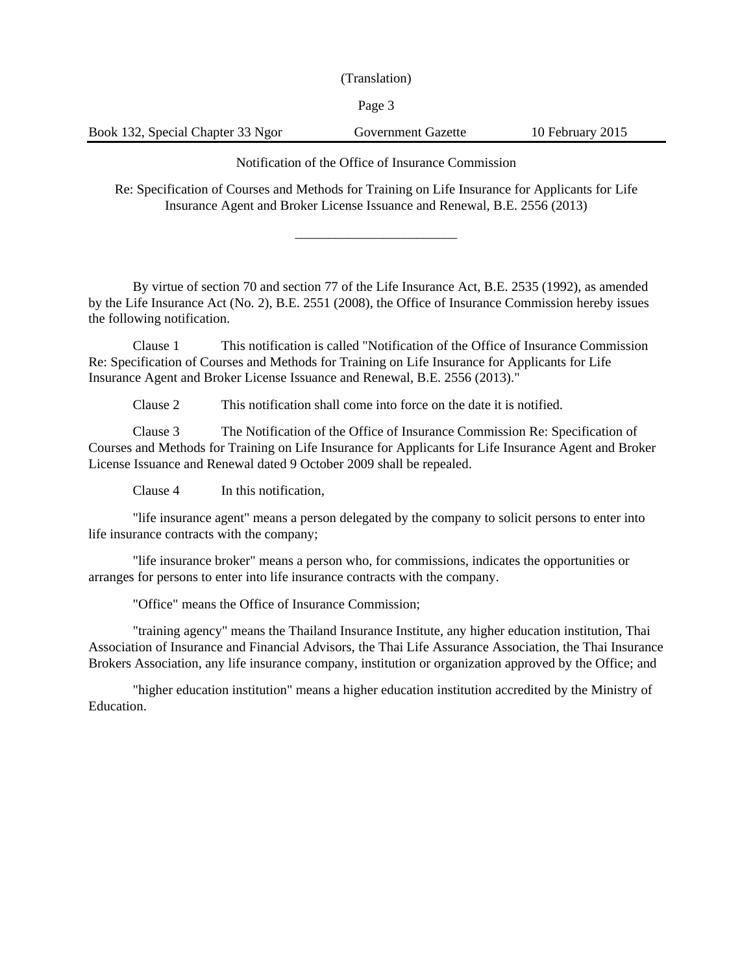(Translation)

Page 3

Book 132, Special Chapter 33 Ngor Government Gazette 10 February 2015

Notification of the Office of Insurance Commission

Re: Specification of Courses and Methods for Training on Life Insurance for Applicants for Life Insurance Agent and Broker License Issuance and Renewal, B.E. 2556 (2013)

\_\_\_\_\_\_\_\_\_\_\_\_\_\_\_\_\_\_\_\_\_\_\_\_

By virtue of section 70 and section 77 of the Life Insurance Act, B.E. 2535 (1992), as amended by the Life Insurance Act (No. 2), B.E. 2551 (2008), the Office of Insurance Commission hereby issues the following notification.

Clause 1 This notification is called "Notification of the Office of Insurance Commission Re: Specification of Courses and Methods for Training on Life Insurance for Applicants for Life Insurance Agent and Broker License Issuance and Renewal, B.E. 2556 (2013)."

Clause 2 This notification shall come into force on the date it is notified.

Clause 3 The Notification of the Office of Insurance Commission Re: Specification of Courses and Methods for Training on Life Insurance for Applicants for Life Insurance Agent and Broker License Issuance and Renewal dated 9 October 2009 shall be repealed.

Clause 4 In this notification,

"life insurance agent" means a person delegated by the company to solicit persons to enter into life insurance contracts with the company;

"life insurance broker" means a person who, for commissions, indicates the opportunities or arranges for persons to enter into life insurance contracts with the company.

"Office" means the Office of Insurance Commission;

"training agency" means the Thailand Insurance Institute, any higher education institution, Thai Association of Insurance and Financial Advisors, the Thai Life Assurance Association, the Thai Insurance Brokers Association, any life insurance company, institution or organization approved by the Office; and

"higher education institution" means a higher education institution accredited by the Ministry of Education.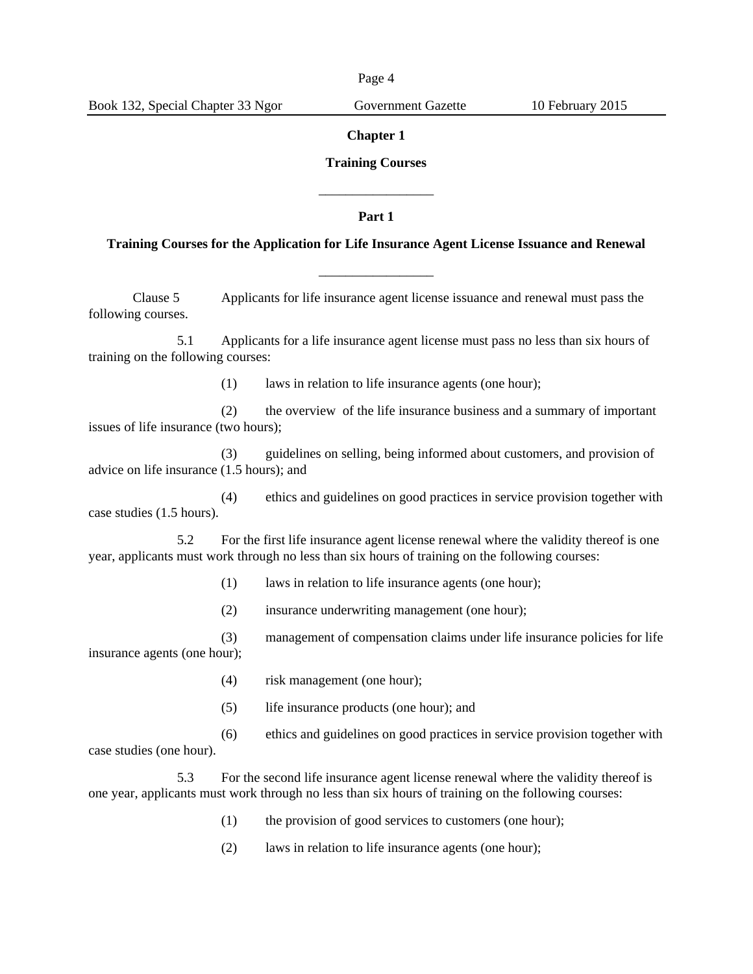#### **Chapter 1**

### **Training Courses**

## **Part 1**

\_\_\_\_\_\_\_\_\_\_\_\_\_\_\_\_\_

### **Training Courses for the Application for Life Insurance Agent License Issuance and Renewal**

\_\_\_\_\_\_\_\_\_\_\_\_\_\_\_\_\_

Clause 5 Applicants for life insurance agent license issuance and renewal must pass the following courses.

5.1 Applicants for a life insurance agent license must pass no less than six hours of training on the following courses:

(1) laws in relation to life insurance agents (one hour);

(2) the overview of the life insurance business and a summary of important issues of life insurance (two hours);

(3) guidelines on selling, being informed about customers, and provision of advice on life insurance (1.5 hours); and

(4) ethics and guidelines on good practices in service provision together with case studies (1.5 hours).

5.2 For the first life insurance agent license renewal where the validity thereof is one year, applicants must work through no less than six hours of training on the following courses:

- (1) laws in relation to life insurance agents (one hour);
- (2) insurance underwriting management (one hour);

(3) management of compensation claims under life insurance policies for life insurance agents (one hour);

- (4) risk management (one hour);
- (5) life insurance products (one hour); and
- (6) ethics and guidelines on good practices in service provision together with case studies (one hour).

5.3 For the second life insurance agent license renewal where the validity thereof is one year, applicants must work through no less than six hours of training on the following courses:

- (1) the provision of good services to customers (one hour);
- (2) laws in relation to life insurance agents (one hour);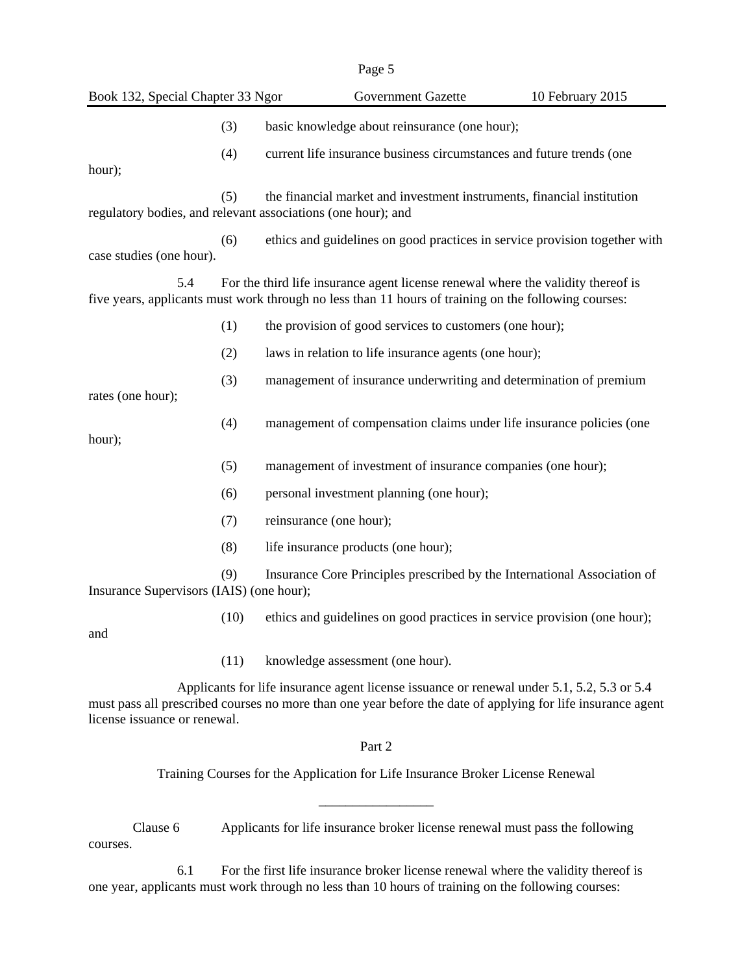| Page 5                                                                                                                                                                                                                                    |      |                                                                                                                                        |  |  |  |  |
|-------------------------------------------------------------------------------------------------------------------------------------------------------------------------------------------------------------------------------------------|------|----------------------------------------------------------------------------------------------------------------------------------------|--|--|--|--|
| Book 132, Special Chapter 33 Ngor                                                                                                                                                                                                         |      | <b>Government Gazette</b><br>10 February 2015                                                                                          |  |  |  |  |
|                                                                                                                                                                                                                                           | (3)  | basic knowledge about reinsurance (one hour);                                                                                          |  |  |  |  |
|                                                                                                                                                                                                                                           | (4)  | current life insurance business circumstances and future trends (one                                                                   |  |  |  |  |
| hour);                                                                                                                                                                                                                                    |      |                                                                                                                                        |  |  |  |  |
|                                                                                                                                                                                                                                           | (5)  | the financial market and investment instruments, financial institution<br>regulatory bodies, and relevant associations (one hour); and |  |  |  |  |
| case studies (one hour).                                                                                                                                                                                                                  | (6)  | ethics and guidelines on good practices in service provision together with                                                             |  |  |  |  |
| 5.4<br>For the third life insurance agent license renewal where the validity thereof is<br>five years, applicants must work through no less than 11 hours of training on the following courses:                                           |      |                                                                                                                                        |  |  |  |  |
|                                                                                                                                                                                                                                           | (1)  | the provision of good services to customers (one hour);                                                                                |  |  |  |  |
|                                                                                                                                                                                                                                           | (2)  | laws in relation to life insurance agents (one hour);                                                                                  |  |  |  |  |
| rates (one hour);                                                                                                                                                                                                                         | (3)  | management of insurance underwriting and determination of premium                                                                      |  |  |  |  |
| hour);                                                                                                                                                                                                                                    | (4)  | management of compensation claims under life insurance policies (one                                                                   |  |  |  |  |
|                                                                                                                                                                                                                                           | (5)  | management of investment of insurance companies (one hour);                                                                            |  |  |  |  |
|                                                                                                                                                                                                                                           | (6)  | personal investment planning (one hour);                                                                                               |  |  |  |  |
|                                                                                                                                                                                                                                           | (7)  | reinsurance (one hour);                                                                                                                |  |  |  |  |
|                                                                                                                                                                                                                                           | (8)  | life insurance products (one hour);                                                                                                    |  |  |  |  |
| Insurance Supervisors (IAIS) (one hour);                                                                                                                                                                                                  | (9)  | Insurance Core Principles prescribed by the International Association of                                                               |  |  |  |  |
| and                                                                                                                                                                                                                                       | (10) | ethics and guidelines on good practices in service provision (one hour);                                                               |  |  |  |  |
|                                                                                                                                                                                                                                           | (11) | knowledge assessment (one hour).                                                                                                       |  |  |  |  |
| Applicants for life insurance agent license issuance or renewal under 5.1, 5.2, 5.3 or 5.4<br>must pass all prescribed courses no more than one year before the date of applying for life insurance agent<br>license issuance or renewal. |      |                                                                                                                                        |  |  |  |  |
|                                                                                                                                                                                                                                           |      | Part 2                                                                                                                                 |  |  |  |  |
| Training Courses for the Application for Life Insurance Broker License Renewal                                                                                                                                                            |      |                                                                                                                                        |  |  |  |  |
| Clause 6<br>courses.                                                                                                                                                                                                                      |      | Applicants for life insurance broker license renewal must pass the following                                                           |  |  |  |  |

6.1 For the first life insurance broker license renewal where the validity thereof is one year, applicants must work through no less than 10 hours of training on the following courses: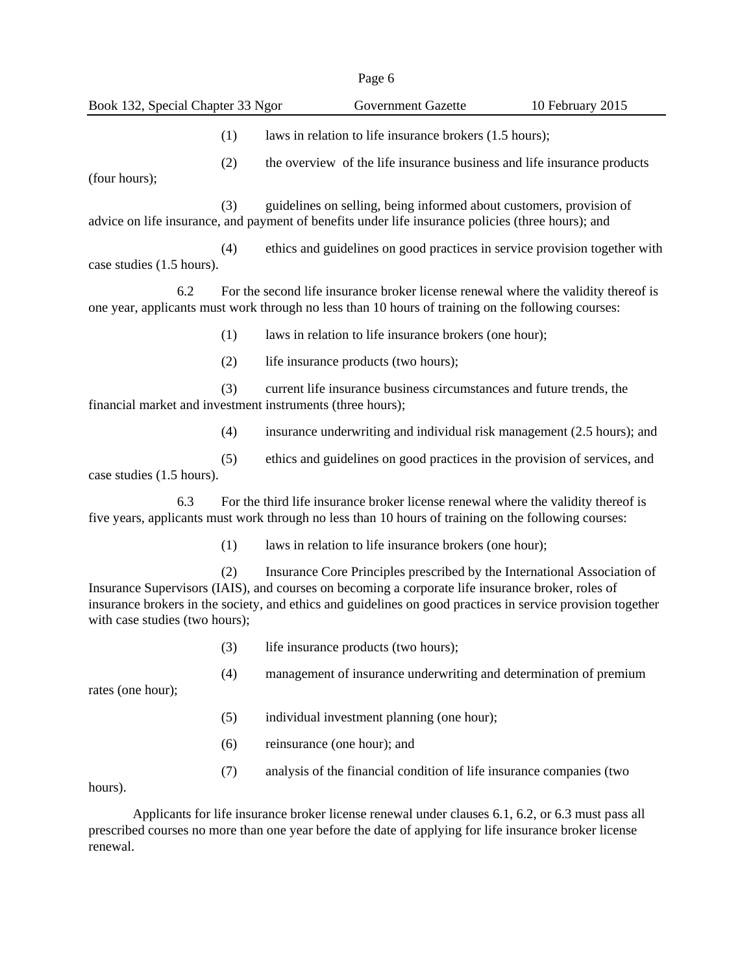|                                                                                                                                                                                                                                                                                                                                       |     | Page 6                                                                                                                                                                                                      |  |  |
|---------------------------------------------------------------------------------------------------------------------------------------------------------------------------------------------------------------------------------------------------------------------------------------------------------------------------------------|-----|-------------------------------------------------------------------------------------------------------------------------------------------------------------------------------------------------------------|--|--|
| Book 132, Special Chapter 33 Ngor                                                                                                                                                                                                                                                                                                     |     | <b>Government Gazette</b><br>10 February 2015                                                                                                                                                               |  |  |
|                                                                                                                                                                                                                                                                                                                                       | (1) | laws in relation to life insurance brokers (1.5 hours);                                                                                                                                                     |  |  |
|                                                                                                                                                                                                                                                                                                                                       | (2) | the overview of the life insurance business and life insurance products                                                                                                                                     |  |  |
| (four hours);                                                                                                                                                                                                                                                                                                                         |     |                                                                                                                                                                                                             |  |  |
|                                                                                                                                                                                                                                                                                                                                       | (3) | guidelines on selling, being informed about customers, provision of<br>advice on life insurance, and payment of benefits under life insurance policies (three hours); and                                   |  |  |
| case studies (1.5 hours).                                                                                                                                                                                                                                                                                                             | (4) | ethics and guidelines on good practices in service provision together with                                                                                                                                  |  |  |
| 6.2                                                                                                                                                                                                                                                                                                                                   |     | For the second life insurance broker license renewal where the validity thereof is<br>one year, applicants must work through no less than 10 hours of training on the following courses:                    |  |  |
|                                                                                                                                                                                                                                                                                                                                       | (1) | laws in relation to life insurance brokers (one hour);                                                                                                                                                      |  |  |
|                                                                                                                                                                                                                                                                                                                                       | (2) | life insurance products (two hours);                                                                                                                                                                        |  |  |
| current life insurance business circumstances and future trends, the<br>(3)<br>financial market and investment instruments (three hours);                                                                                                                                                                                             |     |                                                                                                                                                                                                             |  |  |
|                                                                                                                                                                                                                                                                                                                                       | (4) | insurance underwriting and individual risk management (2.5 hours); and                                                                                                                                      |  |  |
| case studies (1.5 hours).                                                                                                                                                                                                                                                                                                             | (5) | ethics and guidelines on good practices in the provision of services, and                                                                                                                                   |  |  |
| 6.3<br>For the third life insurance broker license renewal where the validity thereof is<br>five years, applicants must work through no less than 10 hours of training on the following courses:                                                                                                                                      |     |                                                                                                                                                                                                             |  |  |
|                                                                                                                                                                                                                                                                                                                                       | (1) | laws in relation to life insurance brokers (one hour);                                                                                                                                                      |  |  |
| Insurance Core Principles prescribed by the International Association of<br>(2)<br>Insurance Supervisors (IAIS), and courses on becoming a corporate life insurance broker, roles of<br>insurance brokers in the society, and ethics and guidelines on good practices in service provision together<br>with case studies (two hours); |     |                                                                                                                                                                                                             |  |  |
|                                                                                                                                                                                                                                                                                                                                       | (3) | life insurance products (two hours);                                                                                                                                                                        |  |  |
| rates (one hour);                                                                                                                                                                                                                                                                                                                     | (4) | management of insurance underwriting and determination of premium                                                                                                                                           |  |  |
|                                                                                                                                                                                                                                                                                                                                       | (5) | individual investment planning (one hour);                                                                                                                                                                  |  |  |
|                                                                                                                                                                                                                                                                                                                                       | (6) | reinsurance (one hour); and                                                                                                                                                                                 |  |  |
| hours).                                                                                                                                                                                                                                                                                                                               | (7) | analysis of the financial condition of life insurance companies (two                                                                                                                                        |  |  |
| renewal.                                                                                                                                                                                                                                                                                                                              |     | Applicants for life insurance broker license renewal under clauses 6.1, 6.2, or 6.3 must pass all<br>prescribed courses no more than one year before the date of applying for life insurance broker license |  |  |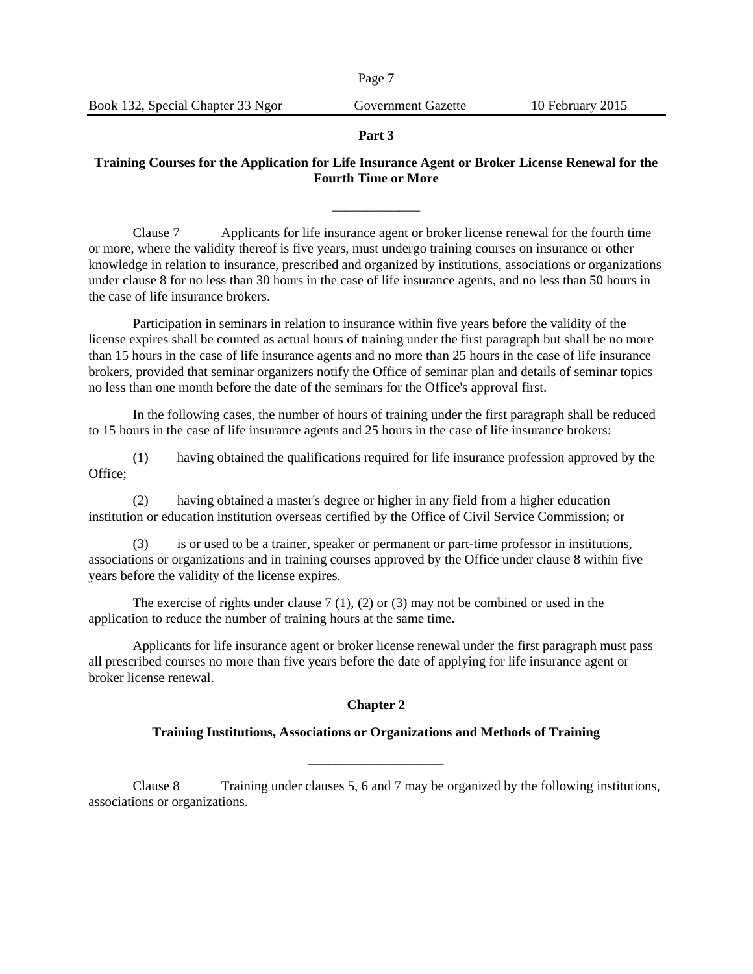Page 7

#### **Part 3**

## **Training Courses for the Application for Life Insurance Agent or Broker License Renewal for the Fourth Time or More**

\_\_\_\_\_\_\_\_\_\_\_\_\_

Clause 7 Applicants for life insurance agent or broker license renewal for the fourth time or more, where the validity thereof is five years, must undergo training courses on insurance or other knowledge in relation to insurance, prescribed and organized by institutions, associations or organizations under clause 8 for no less than 30 hours in the case of life insurance agents, and no less than 50 hours in the case of life insurance brokers.

Participation in seminars in relation to insurance within five years before the validity of the license expires shall be counted as actual hours of training under the first paragraph but shall be no more than 15 hours in the case of life insurance agents and no more than 25 hours in the case of life insurance brokers, provided that seminar organizers notify the Office of seminar plan and details of seminar topics no less than one month before the date of the seminars for the Office's approval first.

In the following cases, the number of hours of training under the first paragraph shall be reduced to 15 hours in the case of life insurance agents and 25 hours in the case of life insurance brokers:

(1) having obtained the qualifications required for life insurance profession approved by the Office;

(2) having obtained a master's degree or higher in any field from a higher education institution or education institution overseas certified by the Office of Civil Service Commission; or

(3) is or used to be a trainer, speaker or permanent or part-time professor in institutions, associations or organizations and in training courses approved by the Office under clause 8 within five years before the validity of the license expires.

The exercise of rights under clause  $7(1)$ ,  $(2)$  or  $(3)$  may not be combined or used in the application to reduce the number of training hours at the same time.

Applicants for life insurance agent or broker license renewal under the first paragraph must pass all prescribed courses no more than five years before the date of applying for life insurance agent or broker license renewal.

#### **Chapter 2**

### **Training Institutions, Associations or Organizations and Methods of Training**

Clause 8 Training under clauses 5, 6 and 7 may be organized by the following institutions, associations or organizations.

\_\_\_\_\_\_\_\_\_\_\_\_\_\_\_\_\_\_\_\_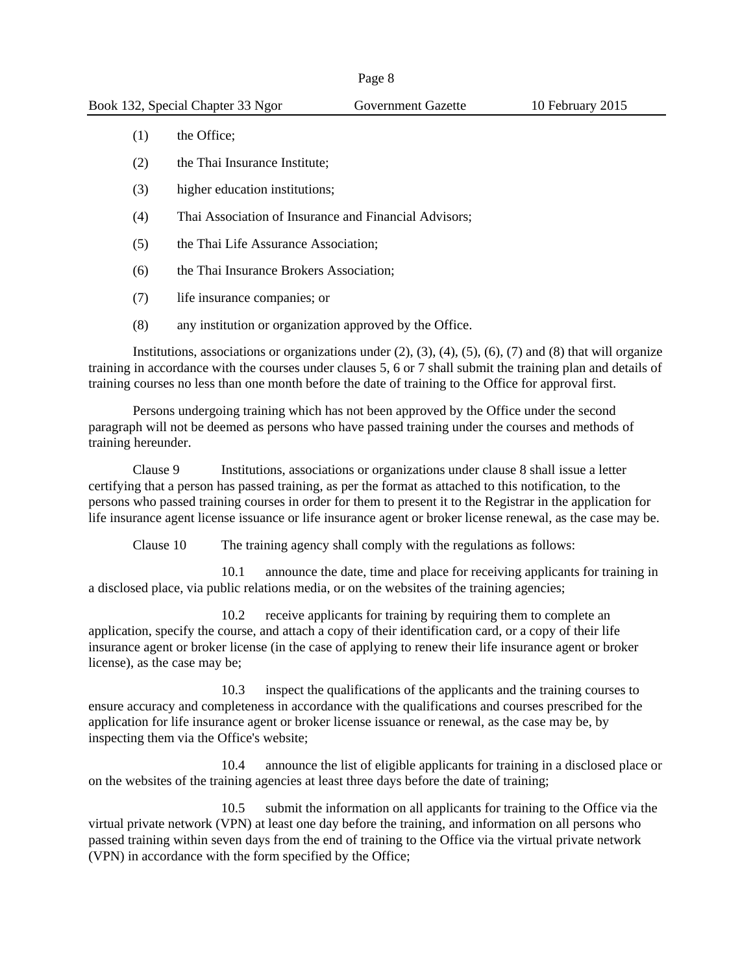- (1) the Office;
- (2) the Thai Insurance Institute;
- (3) higher education institutions;
- (4) Thai Association of Insurance and Financial Advisors;
- (5) the Thai Life Assurance Association;
- (6) the Thai Insurance Brokers Association;
- (7) life insurance companies; or
- (8) any institution or organization approved by the Office.

Institutions, associations or organizations under  $(2)$ ,  $(3)$ ,  $(4)$ ,  $(5)$ ,  $(6)$ ,  $(7)$  and  $(8)$  that will organize training in accordance with the courses under clauses 5, 6 or 7 shall submit the training plan and details of training courses no less than one month before the date of training to the Office for approval first.

Persons undergoing training which has not been approved by the Office under the second paragraph will not be deemed as persons who have passed training under the courses and methods of training hereunder.

Clause 9 Institutions, associations or organizations under clause 8 shall issue a letter certifying that a person has passed training, as per the format as attached to this notification, to the persons who passed training courses in order for them to present it to the Registrar in the application for life insurance agent license issuance or life insurance agent or broker license renewal, as the case may be.

Clause 10 The training agency shall comply with the regulations as follows:

10.1 announce the date, time and place for receiving applicants for training in a disclosed place, via public relations media, or on the websites of the training agencies;

10.2 receive applicants for training by requiring them to complete an application, specify the course, and attach a copy of their identification card, or a copy of their life insurance agent or broker license (in the case of applying to renew their life insurance agent or broker license), as the case may be;

10.3 inspect the qualifications of the applicants and the training courses to ensure accuracy and completeness in accordance with the qualifications and courses prescribed for the application for life insurance agent or broker license issuance or renewal, as the case may be, by inspecting them via the Office's website;

10.4 announce the list of eligible applicants for training in a disclosed place or on the websites of the training agencies at least three days before the date of training;

10.5 submit the information on all applicants for training to the Office via the virtual private network (VPN) at least one day before the training, and information on all persons who passed training within seven days from the end of training to the Office via the virtual private network (VPN) in accordance with the form specified by the Office;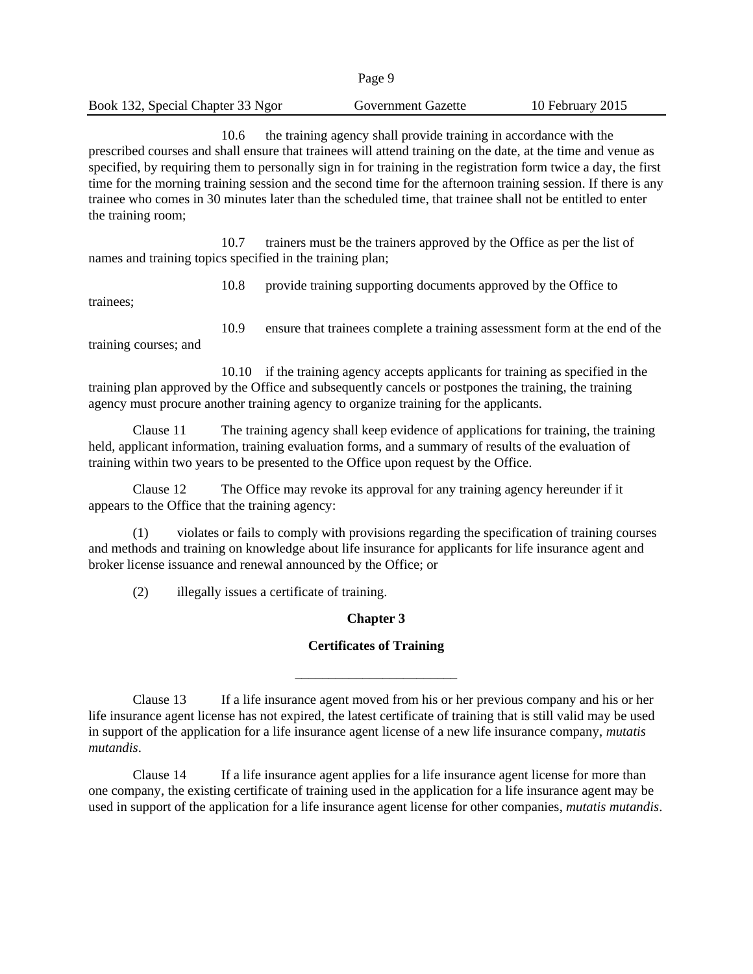|--|

# Book 132, Special Chapter 33 Ngor Government Gazette 10 February 2015

10.6 the training agency shall provide training in accordance with the prescribed courses and shall ensure that trainees will attend training on the date, at the time and venue as specified, by requiring them to personally sign in for training in the registration form twice a day, the first time for the morning training session and the second time for the afternoon training session. If there is any trainee who comes in 30 minutes later than the scheduled time, that trainee shall not be entitled to enter the training room;

10.7 trainers must be the trainers approved by the Office as per the list of names and training topics specified in the training plan;

10.8 provide training supporting documents approved by the Office to

trainees;

10.9 ensure that trainees complete a training assessment form at the end of the

training courses; and

10.10 if the training agency accepts applicants for training as specified in the training plan approved by the Office and subsequently cancels or postpones the training, the training agency must procure another training agency to organize training for the applicants.

Clause 11 The training agency shall keep evidence of applications for training, the training held, applicant information, training evaluation forms, and a summary of results of the evaluation of training within two years to be presented to the Office upon request by the Office.

Clause 12 The Office may revoke its approval for any training agency hereunder if it appears to the Office that the training agency:

(1) violates or fails to comply with provisions regarding the specification of training courses and methods and training on knowledge about life insurance for applicants for life insurance agent and broker license issuance and renewal announced by the Office; or

(2) illegally issues a certificate of training.

# **Chapter 3**

# **Certificates of Training**

\_\_\_\_\_\_\_\_\_\_\_\_\_\_\_\_\_\_\_\_\_\_\_\_

Clause 13 If a life insurance agent moved from his or her previous company and his or her life insurance agent license has not expired, the latest certificate of training that is still valid may be used in support of the application for a life insurance agent license of a new life insurance company, *mutatis mutandis*.

Clause 14 If a life insurance agent applies for a life insurance agent license for more than one company, the existing certificate of training used in the application for a life insurance agent may be used in support of the application for a life insurance agent license for other companies, *mutatis mutandis*.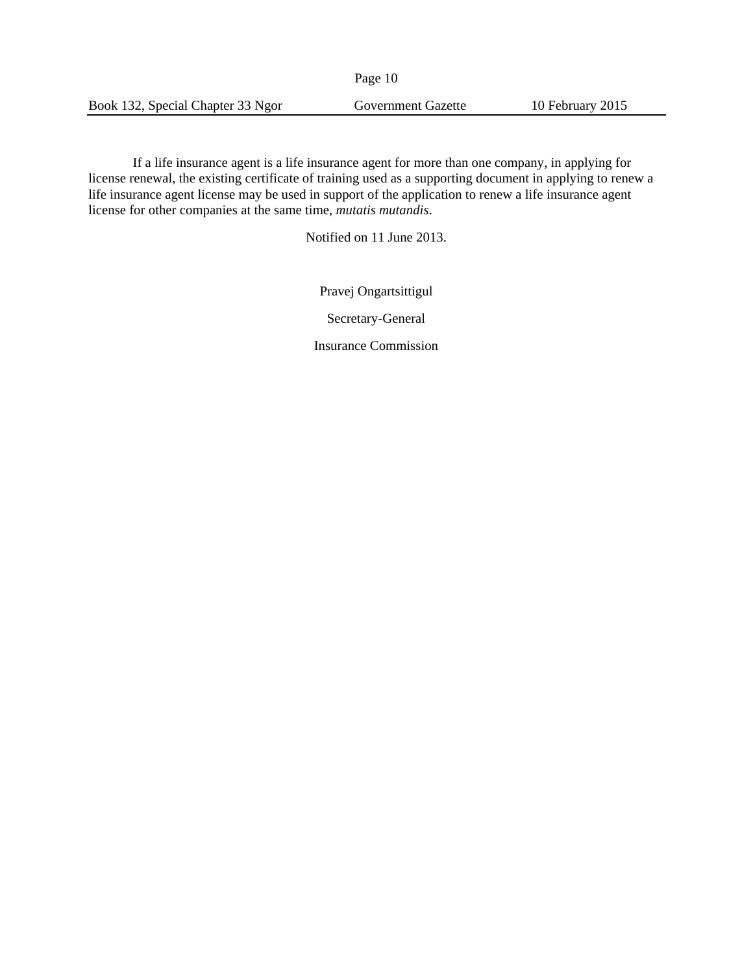If a life insurance agent is a life insurance agent for more than one company, in applying for license renewal, the existing certificate of training used as a supporting document in applying to renew a life insurance agent license may be used in support of the application to renew a life insurance agent license for other companies at the same time, *mutatis mutandis*.

Notified on 11 June 2013.

Pravej Ongartsittigul

Secretary-General

Insurance Commission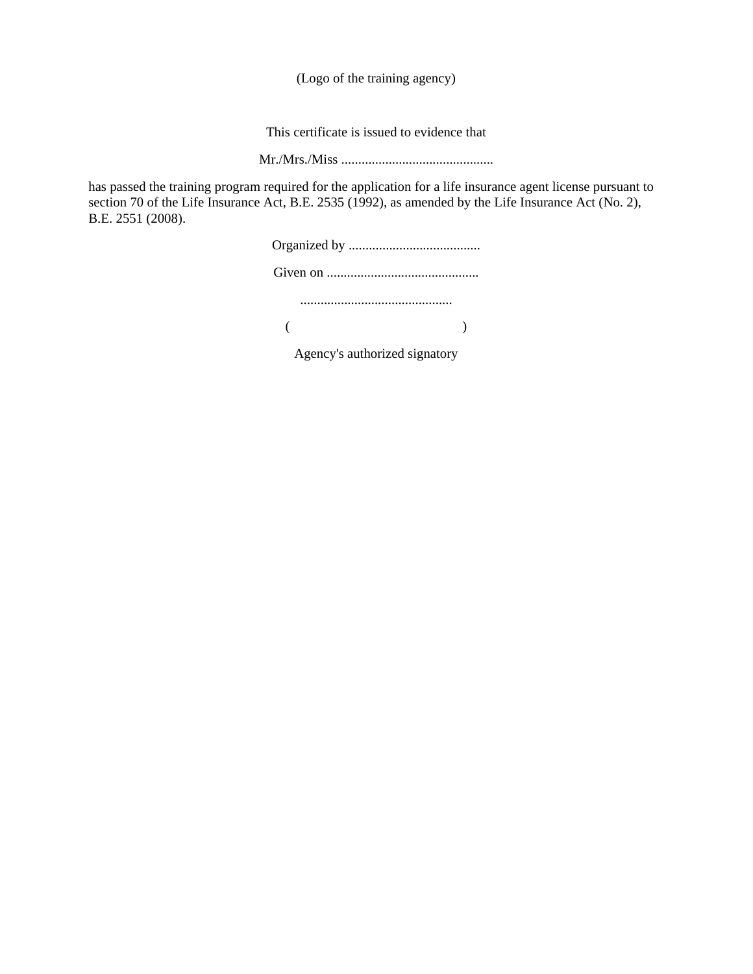(Logo of the training agency)

This certificate is issued to evidence that

Mr./Mrs./Miss .............................................

has passed the training program required for the application for a life insurance agent license pursuant to section 70 of the Life Insurance Act, B.E. 2535 (1992), as amended by the Life Insurance Act (No. 2), B.E. 2551 (2008).

| Agency's authorized signatory |  |
|-------------------------------|--|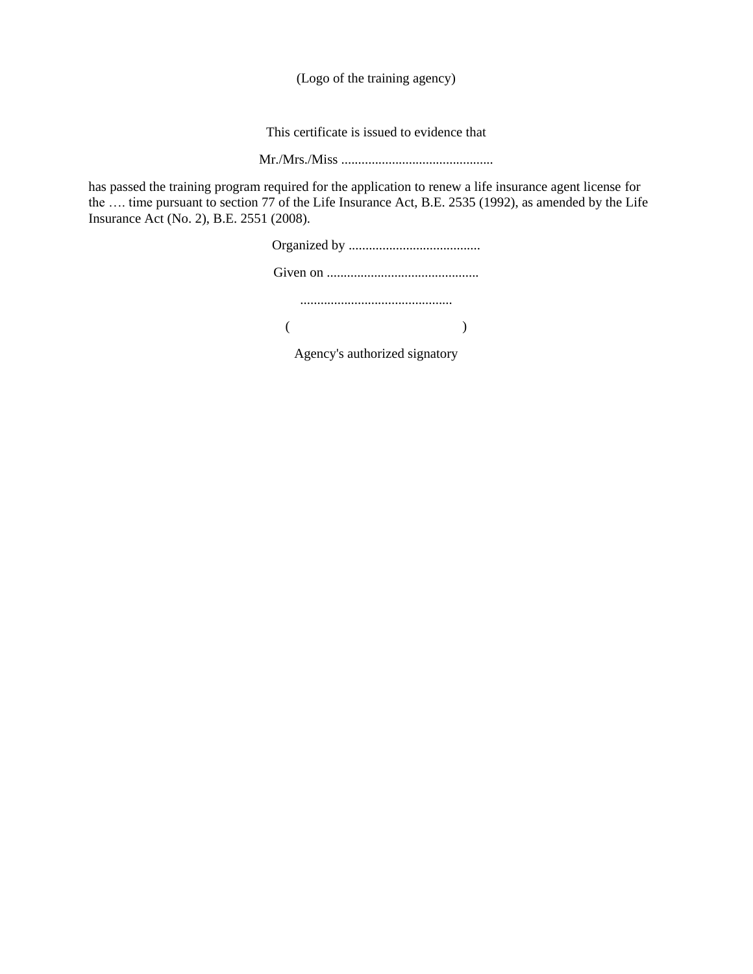(Logo of the training agency)

This certificate is issued to evidence that

Mr./Mrs./Miss .............................................

has passed the training program required for the application to renew a life insurance agent license for the …. time pursuant to section 77 of the Life Insurance Act, B.E. 2535 (1992), as amended by the Life Insurance Act (No. 2), B.E. 2551 (2008).

> Organized by ....................................... Given on ............................................. .............................................  $($  ) Agency's authorized signatory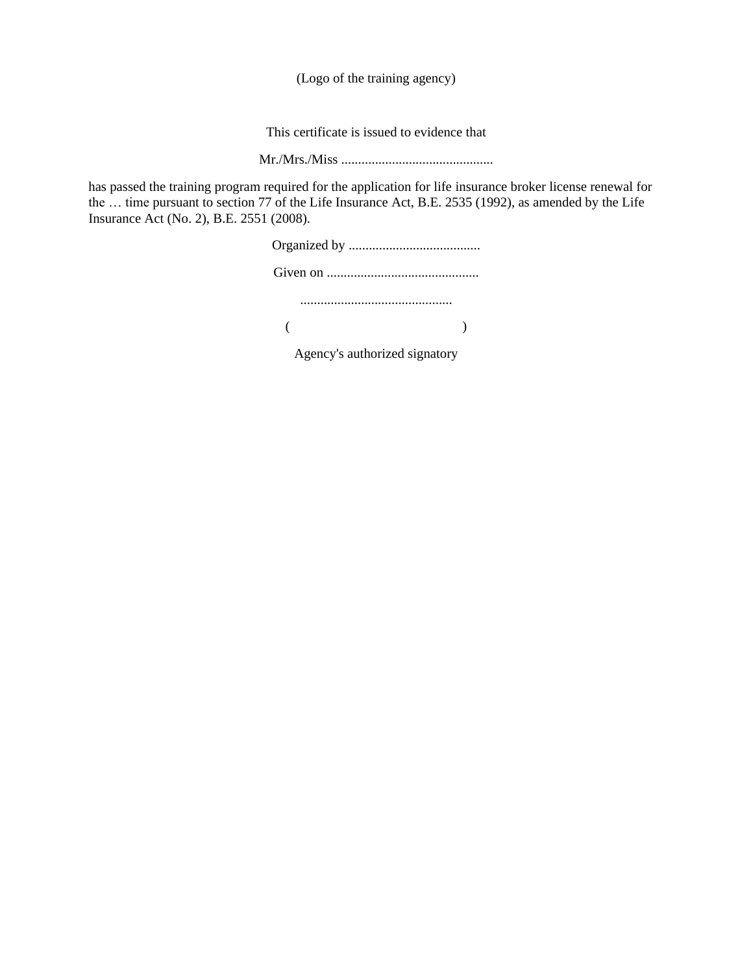(Logo of the training agency)

This certificate is issued to evidence that

Mr./Mrs./Miss .............................................

has passed the training program required for the application for life insurance broker license renewal for the … time pursuant to section 77 of the Life Insurance Act, B.E. 2535 (1992), as amended by the Life Insurance Act (No. 2), B.E. 2551 (2008).

> Organized by ....................................... Given on ............................................. .............................................  $($  ) Agency's authorized signatory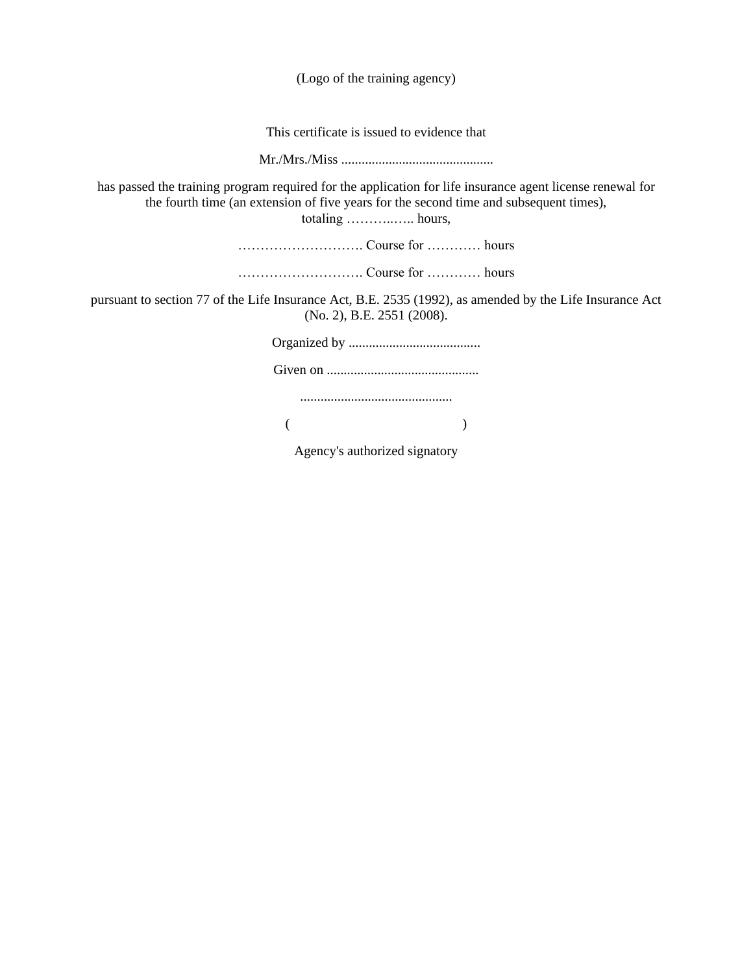(Logo of the training agency) This certificate is issued to evidence that Mr./Mrs./Miss ............................................. has passed the training program required for the application for life insurance agent license renewal for the fourth time (an extension of five years for the second time and subsequent times), totaling ………..….. hours, ………………………. Course for ………… hours ………………………. Course for ………… hours pursuant to section 77 of the Life Insurance Act, B.E. 2535 (1992), as amended by the Life Insurance Act (No. 2), B.E. 2551 (2008). Organized by ....................................... Given on ............................................. .............................................  $($  )

Agency's authorized signatory